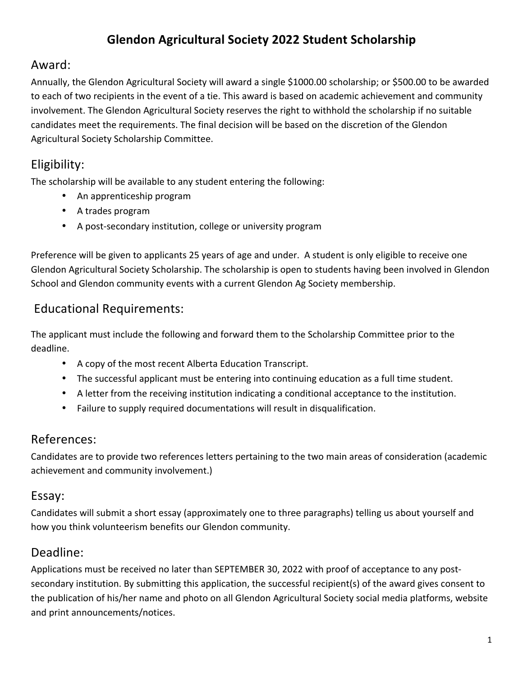## **Glendon Agricultural Society 2022 Student Scholarship**

#### Award:

Annually, the Glendon Agricultural Society will award a single \$1000.00 scholarship; or \$500.00 to be awarded to each of two recipients in the event of a tie. This award is based on academic achievement and community involvement. The Glendon Agricultural Society reserves the right to withhold the scholarship if no suitable candidates meet the requirements. The final decision will be based on the discretion of the Glendon Agricultural Society Scholarship Committee.

### Eligibility:

The scholarship will be available to any student entering the following:

- An apprenticeship program
- A trades program
- A post-secondary institution, college or university program

Preference will be given to applicants 25 years of age and under. A student is only eligible to receive one Glendon Agricultural Society Scholarship. The scholarship is open to students having been involved in Glendon School and Glendon community events with a current Glendon Ag Society membership.

# Educational Requirements:

The applicant must include the following and forward them to the Scholarship Committee prior to the deadline. 

- A copy of the most recent Alberta Education Transcript.
- The successful applicant must be entering into continuing education as a full time student.
- A letter from the receiving institution indicating a conditional acceptance to the institution.
- Failure to supply required documentations will result in disqualification.

#### References:

Candidates are to provide two references letters pertaining to the two main areas of consideration (academic achievement and community involvement.)

#### Essay:

Candidates will submit a short essay (approximately one to three paragraphs) telling us about yourself and how you think volunteerism benefits our Glendon community.

#### Deadline:

Applications must be received no later than SEPTEMBER 30, 2022 with proof of acceptance to any postsecondary institution. By submitting this application, the successful recipient(s) of the award gives consent to the publication of his/her name and photo on all Glendon Agricultural Society social media platforms, website and print announcements/notices.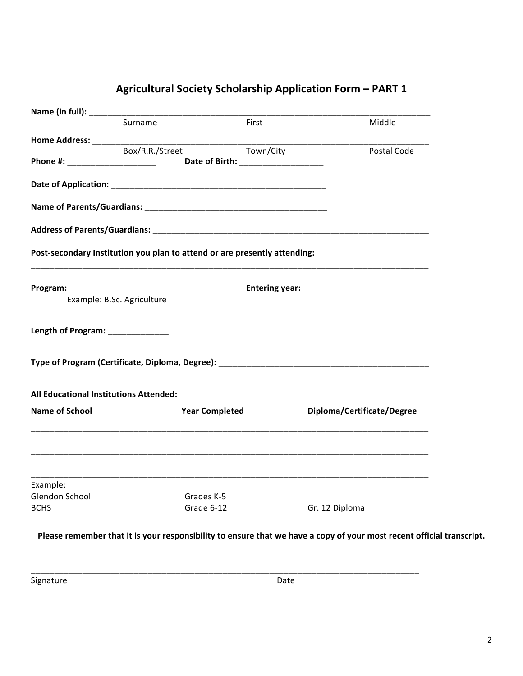| Middle<br>____________________<br>Town/City<br>Postal Code<br>Post-secondary Institution you plan to attend or are presently attending: |
|-----------------------------------------------------------------------------------------------------------------------------------------|
|                                                                                                                                         |
|                                                                                                                                         |
|                                                                                                                                         |
|                                                                                                                                         |
|                                                                                                                                         |
|                                                                                                                                         |
|                                                                                                                                         |
|                                                                                                                                         |
|                                                                                                                                         |
|                                                                                                                                         |
|                                                                                                                                         |
|                                                                                                                                         |
|                                                                                                                                         |
| Diploma/Certificate/Degree                                                                                                              |
| <u> 1999 - Johann Harry Harry Harry Harry Harry Harry Harry Harry Harry Harry Harry Harry Harry Harry Harry Harry</u>                   |
| <u> 1989 - Johann Stoff, amerikansk politiker (d. 1989)</u>                                                                             |
|                                                                                                                                         |
| Gr. 12 Diploma                                                                                                                          |
|                                                                                                                                         |

#### **Agricultural Society Scholarship Application Form – PART 1**

Please remember that it is your responsibility to ensure that we have a copy of your most recent official transcript.

\_\_\_\_\_\_\_\_\_\_\_\_\_\_\_\_\_\_\_\_\_\_\_\_\_\_\_\_\_\_\_\_\_\_\_\_\_\_\_\_\_\_\_\_\_\_\_\_\_\_\_\_\_\_\_\_\_\_\_\_\_\_\_\_\_\_\_\_\_\_\_\_\_\_\_\_\_\_\_\_\_\_\_

Signature Date Date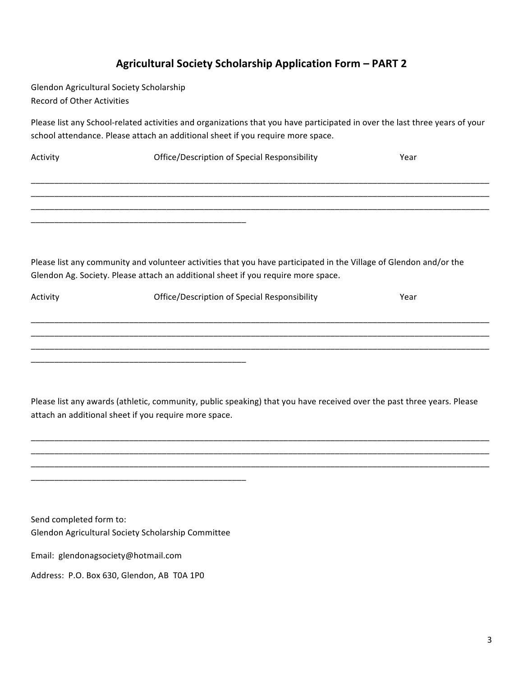#### **Agricultural Society Scholarship Application Form – PART 2**

Glendon Agricultural Society Scholarship Record of Other Activities

Please list any School-related activities and organizations that you have participated in over the last three years of your school attendance. Please attach an additional sheet if you require more space.

| Activity                                                                                                           | Office/Description of Special Responsibility | Year |  |
|--------------------------------------------------------------------------------------------------------------------|----------------------------------------------|------|--|
|                                                                                                                    |                                              |      |  |
|                                                                                                                    |                                              |      |  |
|                                                                                                                    |                                              |      |  |
|                                                                                                                    |                                              |      |  |
|                                                                                                                    |                                              |      |  |
| Please list any community and volunteer activities that you have participated in the Village of Glendon and/or the |                                              |      |  |
| Glendon Ag. Society. Please attach an additional sheet if you require more space.                                  |                                              |      |  |
| Activity                                                                                                           | Office/Description of Special Responsibility | Year |  |
|                                                                                                                    |                                              |      |  |

\_\_\_\_\_\_\_\_\_\_\_\_\_\_\_\_\_\_\_\_\_\_\_\_\_\_\_\_\_\_\_\_\_\_\_\_\_\_\_\_\_\_\_\_\_\_\_\_\_\_\_\_\_\_\_\_\_\_\_\_\_\_\_\_\_\_\_\_\_\_\_\_\_\_\_\_\_\_\_\_\_\_\_\_\_\_\_\_\_\_\_\_\_\_\_\_\_\_ \_\_\_\_\_\_\_\_\_\_\_\_\_\_\_\_\_\_\_\_\_\_\_\_\_\_\_\_\_\_\_\_\_\_\_\_\_\_\_\_\_\_\_\_\_\_\_\_\_\_\_\_\_\_\_\_\_\_\_\_\_\_\_\_\_\_\_\_\_\_\_\_\_\_\_\_\_\_\_\_\_\_\_\_\_\_\_\_\_\_\_\_\_\_\_\_\_\_

Please list any awards (athletic, community, public speaking) that you have received over the past three years. Please attach an additional sheet if you require more space.

\_\_\_\_\_\_\_\_\_\_\_\_\_\_\_\_\_\_\_\_\_\_\_\_\_\_\_\_\_\_\_\_\_\_\_\_\_\_\_\_\_\_\_\_\_\_\_\_\_\_\_\_\_\_\_\_\_\_\_\_\_\_\_\_\_\_\_\_\_\_\_\_\_\_\_\_\_\_\_\_\_\_\_\_\_\_\_\_\_\_\_\_\_\_\_\_\_\_ \_\_\_\_\_\_\_\_\_\_\_\_\_\_\_\_\_\_\_\_\_\_\_\_\_\_\_\_\_\_\_\_\_\_\_\_\_\_\_\_\_\_\_\_\_\_\_\_\_\_\_\_\_\_\_\_\_\_\_\_\_\_\_\_\_\_\_\_\_\_\_\_\_\_\_\_\_\_\_\_\_\_\_\_\_\_\_\_\_\_\_\_\_\_\_\_\_\_ \_\_\_\_\_\_\_\_\_\_\_\_\_\_\_\_\_\_\_\_\_\_\_\_\_\_\_\_\_\_\_\_\_\_\_\_\_\_\_\_\_\_\_\_\_\_\_\_\_\_\_\_\_\_\_\_\_\_\_\_\_\_\_\_\_\_\_\_\_\_\_\_\_\_\_\_\_\_\_\_\_\_\_\_\_\_\_\_\_\_\_\_\_\_\_\_\_\_

Send completed form to: Glendon Agricultural Society Scholarship Committee

\_\_\_\_\_\_\_\_\_\_\_\_\_\_\_\_\_\_\_\_\_\_\_\_\_\_\_\_\_\_\_\_\_\_\_\_\_\_\_\_\_\_\_\_\_\_

\_\_\_\_\_\_\_\_\_\_\_\_\_\_\_\_\_\_\_\_\_\_\_\_\_\_\_\_\_\_\_\_\_\_\_\_\_\_\_\_\_\_\_\_\_\_

Email: glendonagsociety@hotmail.com

Address: P.O. Box 630, Glendon, AB T0A 1P0